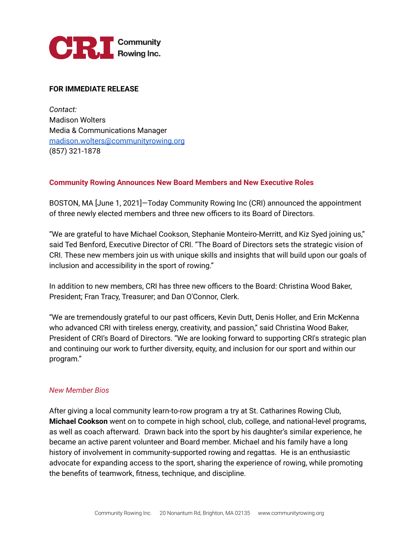

## **FOR IMMEDIATE RELEASE**

*Contact:* Madison Wolters Media & Communications Manager [madison.wolters@communityrowing.org](mailto:madison.wolters@communityrowing.org) (857) 321-1878

## **Community Rowing Announces New Board Members and New Executive Roles**

BOSTON, MA [June 1, 2021]—Today Community Rowing Inc (CRI) announced the appointment of three newly elected members and three new officers to its Board of Directors.

"We are grateful to have Michael Cookson, Stephanie Monteiro-Merritt, and Kiz Syed joining us," said Ted Benford, Executive Director of CRI. "The Board of Directors sets the strategic vision of CRI. These new members join us with unique skills and insights that will build upon our goals of inclusion and accessibility in the sport of rowing."

In addition to new members, CRI has three new officers to the Board: Christina Wood Baker, President; Fran Tracy, Treasurer; and Dan O'Connor, Clerk.

"We are tremendously grateful to our past officers, Kevin Dutt, Denis Holler, and Erin McKenna who advanced CRI with tireless energy, creativity, and passion," said Christina Wood Baker, President of CRI's Board of Directors. "We are looking forward to supporting CRI's strategic plan and continuing our work to further diversity, equity, and inclusion for our sport and within our program."

## *New Member Bios*

After giving a local community learn-to-row program a try at St. Catharines Rowing Club, **Michael Cookson** went on to compete in high school, club, college, and national-level programs, as well as coach afterward. Drawn back into the sport by his daughter's similar experience, he became an active parent volunteer and Board member. Michael and his family have a long history of involvement in community-supported rowing and regattas. He is an enthusiastic advocate for expanding access to the sport, sharing the experience of rowing, while promoting the benefits of teamwork, fitness, technique, and discipline.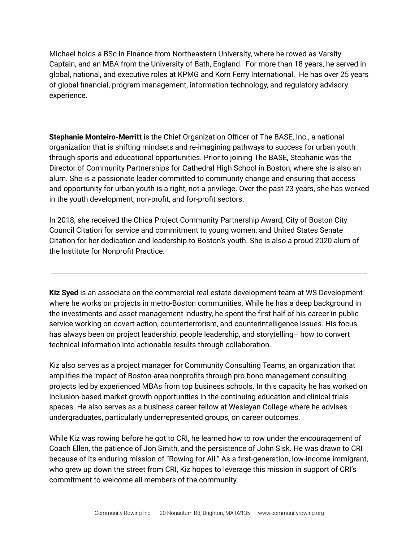Michael holds a BSc in Finance from Northeastern University, where he rowed as Varsity Captain, and an MBA from the University of Bath, England. For more than 18 years, he served in global, national, and executive roles at KPMG and Korn Ferry International. He has over 25 years of global financial, program management, information technology, and regulatory advisory experience.

**Stephanie Monteiro-Merritt** is the Chief Organization Officer of The BASE, Inc., a national organization that is shifting mindsets and re-imagining pathways to success for urban youth through sports and educational opportunities. Prior to joining The BASE, Stephanie was the Director of Community Partnerships for Cathedral High School in Boston, where she is also an alum. She is a passionate leader committed to community change and ensuring that access and opportunity for urban youth is a right, not a privilege. Over the past 23 years, she has worked in the youth development, non-profit, and for-profit sectors.

In 2018, she received the Chica Project Community Partnership Award; City of Boston City Council Citation for service and commitment to young women; and United States Senate Citation for her dedication and leadership to Boston's youth. She is also a proud 2020 alum of the Institute for Nonprofit Practice.

**Kiz Syed** is an associate on the commercial real estate development team at WS Development where he works on projects in metro-Boston communities. While he has a deep background in the investments and asset management industry, he spent the first half of his career in public service working on covert action, counterterrorism, and counterintelligence issues. His focus has always been on project leadership, people leadership, and storytelling– how to convert technical information into actionable results through collaboration.

Kiz also serves as a project manager for Community Consulting Teams, an organization that amplifies the impact of Boston-area nonprofits through pro bono management consulting projects led by experienced MBAs from top business schools. In this capacity he has worked on inclusion-based market growth opportunities in the continuing education and clinical trials spaces. He also serves as a business career fellow at Wesleyan College where he advises undergraduates, particularly underrepresented groups, on career outcomes.

While Kiz was rowing before he got to CRI, he learned how to row under the encouragement of Coach Ellen, the patience of Jon Smith, and the persistence of John Sisk. He was drawn to CRI because of its enduring mission of "Rowing for All." As a first-generation, low-income immigrant, who grew up down the street from CRI, Kiz hopes to leverage this mission in support of CRI's commitment to welcome all members of the community.